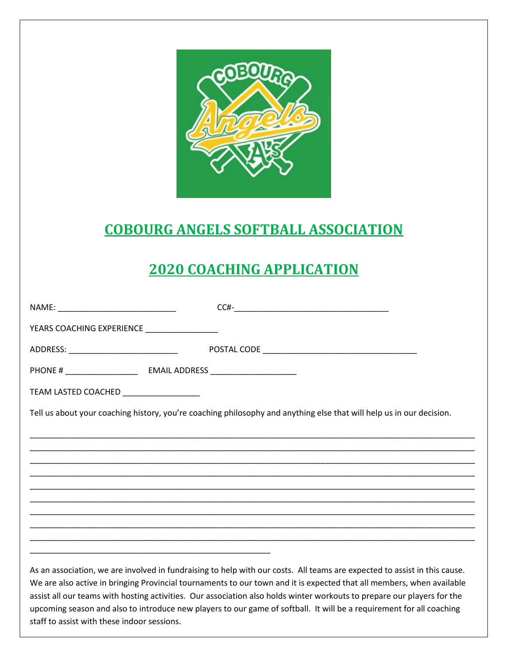

## **COBOURG ANGELS SOFTBALL ASSOCIATION**

## **2020 COACHING APPLICATION**

|                                             | $CCH$ - $\qquad \qquad$                                                                                                                                                                                                                            |
|---------------------------------------------|----------------------------------------------------------------------------------------------------------------------------------------------------------------------------------------------------------------------------------------------------|
| YEARS COACHING EXPERIENCE                   |                                                                                                                                                                                                                                                    |
|                                             |                                                                                                                                                                                                                                                    |
|                                             |                                                                                                                                                                                                                                                    |
| TEAM LASTED COACHED ___________________     |                                                                                                                                                                                                                                                    |
|                                             | Tell us about your coaching history, you're coaching philosophy and anything else that will help us in our decision.                                                                                                                               |
|                                             |                                                                                                                                                                                                                                                    |
|                                             |                                                                                                                                                                                                                                                    |
|                                             |                                                                                                                                                                                                                                                    |
|                                             |                                                                                                                                                                                                                                                    |
|                                             |                                                                                                                                                                                                                                                    |
|                                             |                                                                                                                                                                                                                                                    |
|                                             |                                                                                                                                                                                                                                                    |
|                                             | As an association, we are involved in fundraising to help with our costs. All teams are expected to assist in this cause.<br>We are also active in bringing Provincial tournaments to our town and it is expected that all members, when available |
|                                             | assist all our teams with hosting activities. Our association also holds winter workouts to prepare our players for the<br>upcoming season and also to introduce new players to our game of softball. It will be a requirement for all coaching    |
| staff to assist with these indoor sessions. |                                                                                                                                                                                                                                                    |